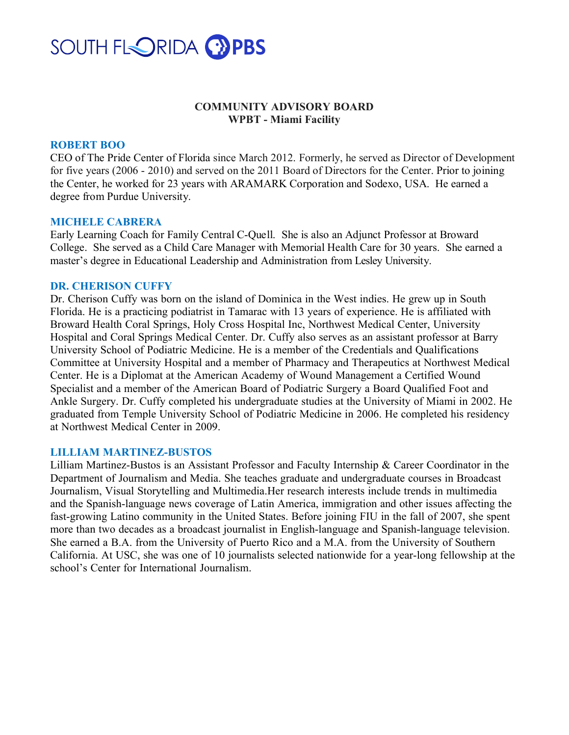

# **COMMUNITY ADVISORY BOARD WPBT - Miami Facility**

### **ROBERT BOO**

CEO of The Pride Center of Florida since March 2012. Formerly, he served as Director of Development for five years (2006 - 2010) and served on the 2011 Board of Directors for the Center. Prior to joining the Center, he worked for 23 years with ARAMARK Corporation and Sodexo, USA. He earned a degree from Purdue University.

#### **MICHELE CABRERA**

Early Learning Coach for Family Central C-Quell. She is also an Adjunct Professor at Broward College. She served as a Child Care Manager with Memorial Health Care for 30 years. She earned a master's degree in Educational Leadership and Administration from Lesley University.

#### **DR. CHERISON CUFFY**

Dr. Cherison Cuffy was born on the island of Dominica in the West indies. He grew up in South Florida. He is a practicing podiatrist in Tamarac with 13 years of experience. He is affiliated with Broward Health Coral Springs, Holy Cross Hospital Inc, Northwest Medical Center, University Hospital and Coral Springs Medical Center. Dr. Cuffy also serves as an assistant professor at Barry University School of Podiatric Medicine. He is a member of the Credentials and Qualifications Committee at University Hospital and a member of Pharmacy and Therapeutics at Northwest Medical Center. He is a Diplomat at the American Academy of Wound Management a Certified Wound Specialist and a member of the American Board of Podiatric Surgery a Board Qualified Foot and Ankle Surgery. Dr. Cuffy completed his undergraduate studies at the University of Miami in 2002. He graduated from Temple University School of Podiatric Medicine in 2006. He completed his residency at Northwest Medical Center in 2009.

#### **LILLIAM MARTINEZ-BUSTOS**

Lilliam Martinez-Bustos is an Assistant Professor and Faculty Internship & Career Coordinator in the Department of Journalism and Media. She teaches graduate and undergraduate courses in Broadcast Journalism, Visual Storytelling and Multimedia.Her research interests include trends in multimedia and the Spanish-language news coverage of Latin America, immigration and other issues affecting the fast-growing Latino community in the United States. Before joining FIU in the fall of 2007, she spent more than two decades as a broadcast journalist in English-language and Spanish-language television. She earned a B.A. from the University of Puerto Rico and a M.A. from the University of Southern California. At USC, she was one of 10 journalists selected nationwide for a year-long fellowship at the school's Center for International Journalism.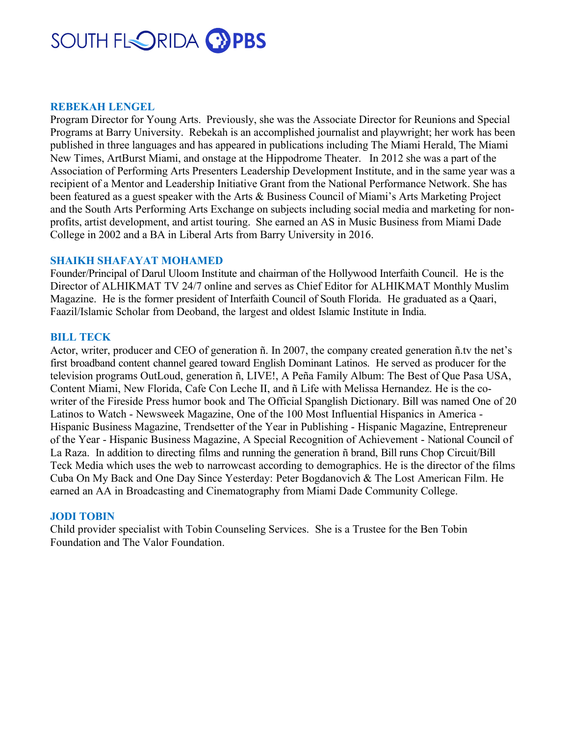# SOUTH FLORIDA CEPBS

### **REBEKAH LENGEL**

Program Director for Young Arts. Previously, she was the Associate Director for Reunions and Special Programs at Barry University. Rebekah is an accomplished journalist and playwright; her work has been published in three languages and has appeared in publications including The Miami Herald, The Miami New Times, ArtBurst Miami, and onstage at the Hippodrome Theater. In 2012 she was a part of the Association of Performing Arts Presenters Leadership Development Institute, and in the same year was a recipient of a Mentor and Leadership Initiative Grant from the National Performance Network. She has been featured as a guest speaker with the Arts & Business Council of Miami's Arts Marketing Project and the South Arts Performing Arts Exchange on subjects including social media and marketing for nonprofits, artist development, and artist touring. She earned an AS in Music Business from Miami Dade College in 2002 and a BA in Liberal Arts from Barry University in 2016.

# **SHAIKH SHAFAYAT MOHAMED**

Founder/Principal of Darul Uloom Institute and chairman of the Hollywood Interfaith Council. He is the Director of ALHIKMAT TV 24/7 online and serves as Chief Editor for ALHIKMAT Monthly Muslim Magazine. He is the former president of Interfaith Council of South Florida. He graduated as a Qaari, Faazil/Islamic Scholar from Deoband, the largest and oldest Islamic Institute in India.

### **BILL TECK**

Actor, writer, producer and CEO of generation ñ. In 2007, the company created generation ñ.tv the net's first broadband content channel geared toward English Dominant Latinos. He served as producer for the television programs OutLoud, generation ñ, LIVE!, A Peña Family Album: The Best of Que Pasa USA, Content Miami, New Florida, Cafe Con Leche II, and ñ Life with Melissa Hernandez. He is the cowriter of the Fireside Press humor book and The Official Spanglish Dictionary. Bill was named One of 20 Latinos to Watch - Newsweek Magazine, One of the 100 Most Influential Hispanics in America - Hispanic Business Magazine, Trendsetter of the Year in Publishing - Hispanic Magazine, Entrepreneur of the Year - Hispanic Business Magazine, A Special Recognition of Achievement - National Council of La Raza. In addition to directing films and running the generation ñ brand, Bill runs Chop Circuit/Bill Teck Media which uses the web to narrowcast according to demographics. He is the director of the films Cuba On My Back and One Day Since Yesterday: Peter Bogdanovich & The Lost American Film. He earned an AA in Broadcasting and Cinematography from Miami Dade Community College.

#### **JODI TOBIN**

Child provider specialist with Tobin Counseling Services. She is a Trustee for the Ben Tobin Foundation and The Valor Foundation.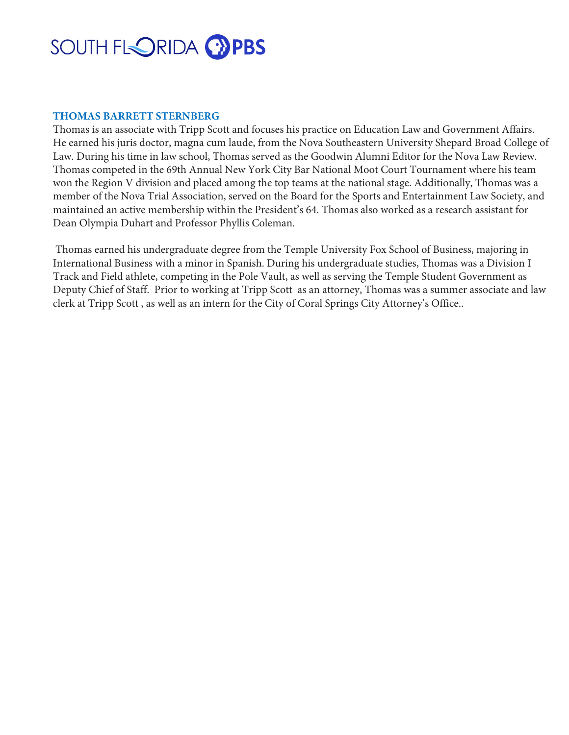# SOUTH FLORIDA <sup>2</sup>PBS

# **THOMAS BARRETT STERNBERG**

Thomas is an associate with Tripp Scott and focuses his practice on Education Law and Government Affairs. He earned his juris doctor, magna cum laude, from the Nova Southeastern University Shepard Broad College of Law. During his time in law school, Thomas served as the Goodwin Alumni Editor for the Nova Law Review. Thomas competed in the 69th Annual New York City Bar National Moot Court Tournament where his team won the Region V division and placed among the top teams at the national stage. Additionally, Thomas was a member of the Nova Trial Association, served on the Board for the Sports and Entertainment Law Society, and maintained an active membership within the President's 64. Thomas also worked as a research assistant for Dean Olympia Duhart and Professor Phyllis Coleman.

Thomas earned his undergraduate degree from the Temple University Fox School of Business, majoring in International Business with a minor in Spanish. During his undergraduate studies, Thomas was a Division I Track and Field athlete, competing in the Pole Vault, as well as serving the Temple Student Government as Deputy Chief of Staff. Prior to working at Tripp Scott as an attorney, Thomas was a summer associate and law clerk at Tripp Scott , as well as an intern for the City of Coral Springs City Attorney's Office..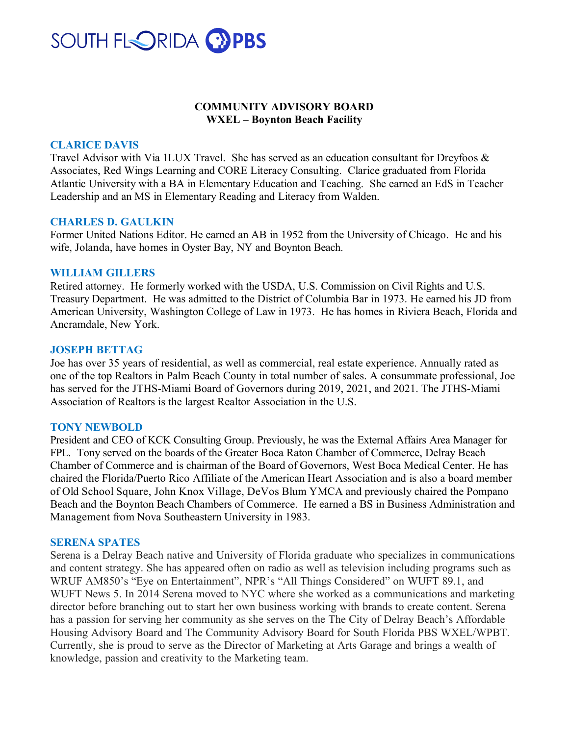

# **COMMUNITY ADVISORY BOARD WXEL – Boynton Beach Facility**

#### **CLARICE DAVIS**

Travel Advisor with Via 1LUX Travel. She has served as an education consultant for Dreyfoos & Associates, Red Wings Learning and CORE Literacy Consulting. Clarice graduated from Florida Atlantic University with a BA in Elementary Education and Teaching. She earned an EdS in Teacher Leadership and an MS in Elementary Reading and Literacy from Walden.

#### **CHARLES D. GAULKIN**

Former United Nations Editor. He earned an AB in 1952 from the University of Chicago. He and his wife, Jolanda, have homes in Oyster Bay, NY and Boynton Beach.

#### **WILLIAM GILLERS**

Retired attorney. He formerly worked with the USDA, U.S. Commission on Civil Rights and U.S. Treasury Department. He was admitted to the District of Columbia Bar in 1973. He earned his JD from American University, Washington College of Law in 1973. He has homes in Riviera Beach, Florida and Ancramdale, New York.

#### **JOSEPH BETTAG**

Joe has over 35 years of residential, as well as commercial, real estate experience. Annually rated as one of the top Realtors in Palm Beach County in total number of sales. A consummate professional, Joe has served for the JTHS-Miami Board of Governors during 2019, 2021, and 2021. The JTHS-Miami Association of Realtors is the largest Realtor Association in the U.S.

#### **TONY NEWBOLD**

President and CEO of KCK Consulting Group. Previously, he was the External Affairs Area Manager for FPL. Tony served on the boards of the Greater Boca Raton Chamber of Commerce, Delray Beach Chamber of Commerce and is chairman of the Board of Governors, West Boca Medical Center. He has chaired the Florida/Puerto Rico Affiliate of the American Heart Association and is also a board member of Old School Square, John Knox Village, DeVos Blum YMCA and previously chaired the Pompano Beach and the Boynton Beach Chambers of Commerce. He earned a BS in Business Administration and Management from Nova Southeastern University in 1983.

#### **SERENA SPATES**

Serena is a Delray Beach native and University of Florida graduate who specializes in communications and content strategy. She has appeared often on radio as well as television including programs such as WRUF AM850's "Eye on Entertainment", NPR's "All Things Considered" on WUFT 89.1, and WUFT News 5. In 2014 Serena moved to NYC where she worked as a communications and marketing director before branching out to start her own business working with brands to create content. Serena has a passion for serving her community as she serves on the The City of Delray Beach's Affordable Housing Advisory Board and The Community Advisory Board for South Florida PBS WXEL/WPBT. Currently, she is proud to serve as the Director of Marketing at Arts Garage and brings a wealth of knowledge, passion and creativity to the Marketing team.